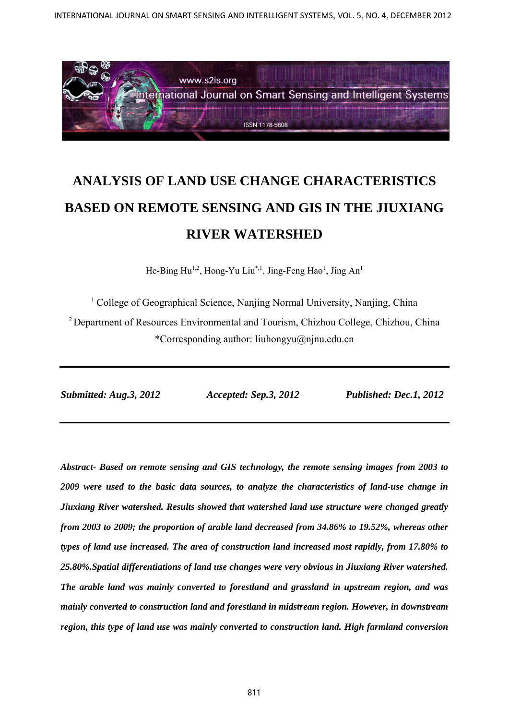

# **ANALYSIS OF LAND USE CHANGE CHARACTERISTICS BASED ON REMOTE SENSING AND GIS IN THE JIUXIANG RIVER WATERSHED**

He-Bing Hu<sup>1,2</sup>, Hong-Yu Liu<sup>\*,1</sup>, Jing-Feng Hao<sup>1</sup>, Jing An<sup>1</sup>

<sup>1</sup> College of Geographical Science, Nanjing Normal University, Nanjing, China

2 Department of Resources Environmental and Tourism, Chizhou College, Chizhou, China \*Corresponding author: liuhongyu@njnu.edu.cn

*Submitted: Aug.3, 2012 Accepted: Sep.3, 2012 Published: Dec.1, 2012* 

*Abstract- Based on remote sensing and GIS technology, the remote sensing images from 2003 to 2009 were used to the basic data sources, to analyze the characteristics of land-use change in Jiuxiang River watershed. Results showed that watershed land use structure were changed greatly from 2003 to 2009; the proportion of arable land decreased from 34.86% to 19.52%, whereas other types of land use increased. The area of construction land increased most rapidly, from 17.80% to 25.80%.Spatial differentiations of land use changes were very obvious in Jiuxiang River watershed. The arable land was mainly converted to forestland and grassland in upstream region, and was mainly converted to construction land and forestland in midstream region. However, in downstream region, this type of land use was mainly converted to construction land. High farmland conversion*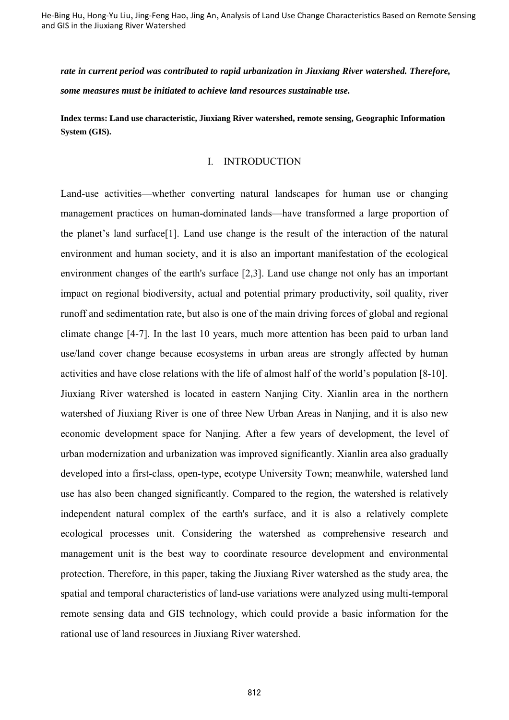*rate in current period was contributed to rapid urbanization in Jiuxiang River watershed. Therefore, some measures must be initiated to achieve land resources sustainable use.* 

**Index terms: Land use characteristic, Jiuxiang River watershed, remote sensing, Geographic Information System (GIS).** 

#### I. INTRODUCTION

Land-use activities—whether converting natural landscapes for human use or changing management practices on human-dominated lands—have transformed a large proportion of the planet's land surface[1]. Land use change is the result of the interaction of the natural environment and human society, and it is also an important manifestation of the ecological environment changes of the earth's surface [2,3]. Land use change not only has an important impact on regional biodiversity, actual and potential primary productivity, soil quality, river runoff and sedimentation rate, but also is one of the main driving forces of global and regional climate change [4-7]. In the last 10 years, much more attention has been paid to urban land use/land cover change because ecosystems in urban areas are strongly affected by human activities and have close relations with the life of almost half of the world's population [8-10]. Jiuxiang River watershed is located in eastern Nanjing City. Xianlin area in the northern watershed of Jiuxiang River is one of three New Urban Areas in Nanjing, and it is also new economic development space for Nanjing. After a few years of development, the level of urban modernization and urbanization was improved significantly. Xianlin area also gradually developed into a first-class, open-type, ecotype University Town; meanwhile, watershed land use has also been changed significantly. Compared to the region, the watershed is relatively independent natural complex of the earth's surface, and it is also a relatively complete ecological processes unit. Considering the watershed as comprehensive research and management unit is the best way to coordinate resource development and environmental protection. Therefore, in this paper, taking the Jiuxiang River watershed as the study area, the spatial and temporal characteristics of land-use variations were analyzed using multi-temporal remote sensing data and GIS technology, which could provide a basic information for the rational use of land resources in Jiuxiang River watershed.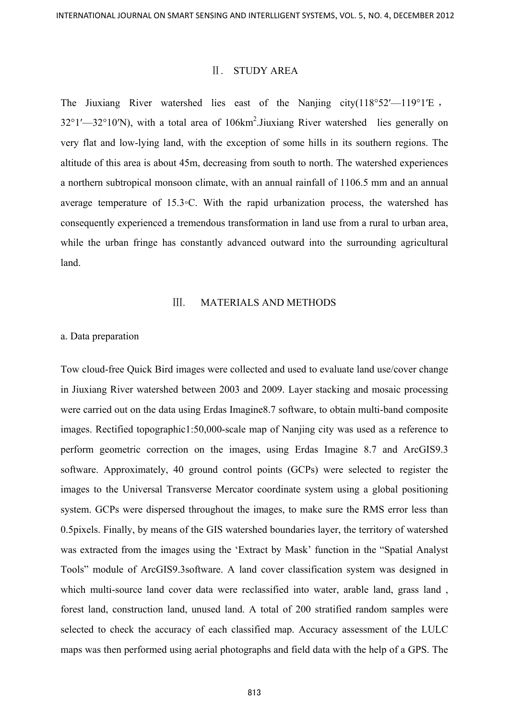## Ⅱ. STUDY AREA

The Jiuxiang River watershed lies east of the Nanjing city( $118^{\circ}52'$ — $119^{\circ}1'E$ , 32°1′—32°10′N), with a total area of 106km<sup>2</sup>. Jiuxiang River watershed lies generally on very flat and low-lying land, with the exception of some hills in its southern regions. The altitude of this area is about 45m, decreasing from south to north. The watershed experiences a northern subtropical monsoon climate, with an annual rainfall of 1106.5 mm and an annual average temperature of 15.3◦C. With the rapid urbanization process, the watershed has consequently experienced a tremendous transformation in land use from a rural to urban area, while the urban fringe has constantly advanced outward into the surrounding agricultural land.

#### Ⅲ. MATERIALS AND METHODS

#### a. Data preparation

Tow cloud-free Quick Bird images were collected and used to evaluate land use/cover change in Jiuxiang River watershed between 2003 and 2009. Layer stacking and mosaic processing were carried out on the data using Erdas Imagine8.7 software, to obtain multi-band composite images. Rectified topographic1:50,000-scale map of Nanjing city was used as a reference to perform geometric correction on the images, using Erdas Imagine 8.7 and ArcGIS9.3 software. Approximately, 40 ground control points (GCPs) were selected to register the images to the Universal Transverse Mercator coordinate system using a global positioning system. GCPs were dispersed throughout the images, to make sure the RMS error less than 0.5pixels. Finally, by means of the GIS watershed boundaries layer, the territory of watershed was extracted from the images using the 'Extract by Mask' function in the "Spatial Analyst Tools" module of ArcGIS9.3software. A land cover classification system was designed in which multi-source land cover data were reclassified into water, arable land, grass land , forest land, construction land, unused land. A total of 200 stratified random samples were selected to check the accuracy of each classified map. Accuracy assessment of the LULC maps was then performed using aerial photographs and field data with the help of a GPS. The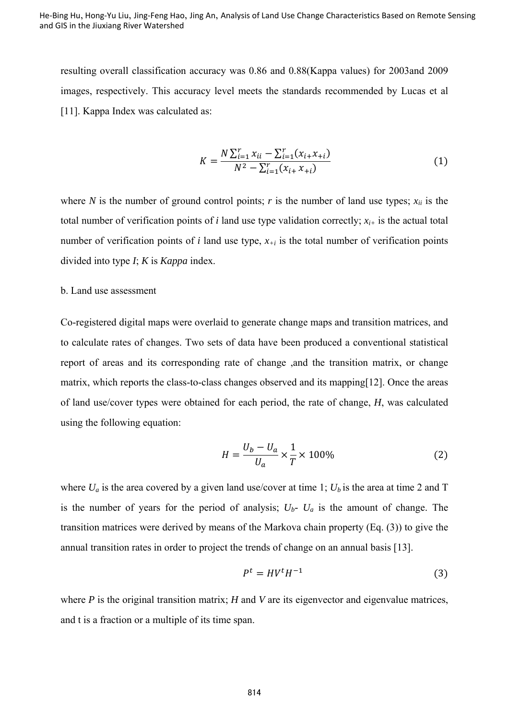resulting overall classification accuracy was 0.86 and 0.88(Kappa values) for 2003and 2009 images, respectively. This accuracy level meets the standards recommended by Lucas et al [11]. Kappa Index was calculated as:

$$
K = \frac{N \sum_{i=1}^{r} x_{ii} - \sum_{i=1}^{r} (x_{i+} x_{+i})}{N^2 - \sum_{i=1}^{r} (x_{i+} x_{+i})}
$$
(1)

where *N* is the number of ground control points; *r* is the number of land use types;  $x_{ii}$  is the total number of verification points of  $i$  land use type validation correctly;  $x_{i+}$  is the actual total number of verification points of  $i$  land use type,  $x_{+i}$  is the total number of verification points divided into type *I*; *K* is *Kappa* index.

#### b. Land use assessment

Co-registered digital maps were overlaid to generate change maps and transition matrices, and to calculate rates of changes. Two sets of data have been produced a conventional statistical report of areas and its corresponding rate of change ,and the transition matrix, or change matrix, which reports the class-to-class changes observed and its mapping[12]. Once the areas of land use/cover types were obtained for each period, the rate of change, *H*, was calculated using the following equation:

$$
H = \frac{U_b - U_a}{U_a} \times \frac{1}{T} \times 100\%
$$
 (2)

where  $U_a$  is the area covered by a given land use/cover at time 1;  $U_b$  is the area at time 2 and T is the number of years for the period of analysis;  $U_b$ -  $U_a$  is the amount of change. The transition matrices were derived by means of the Markova chain property (Eq. (3)) to give the annual transition rates in order to project the trends of change on an annual basis [13].

$$
P^t = HV^t H^{-1} \tag{3}
$$

where *P* is the original transition matrix; *H* and *V* are its eigenvector and eigenvalue matrices, and t is a fraction or a multiple of its time span.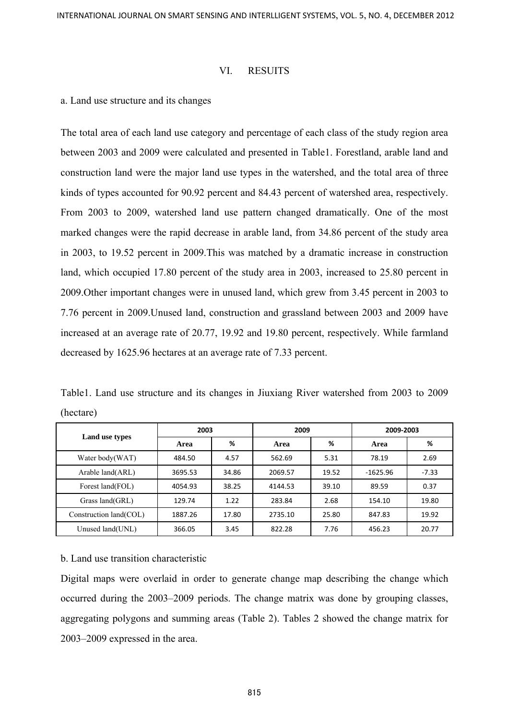## VI. RESUITS

## a. Land use structure and its changes

The total area of each land use category and percentage of each class of the study region area between 2003 and 2009 were calculated and presented in Table1. Forestland, arable land and construction land were the major land use types in the watershed, and the total area of three kinds of types accounted for 90.92 percent and 84.43 percent of watershed area, respectively. From 2003 to 2009, watershed land use pattern changed dramatically. One of the most marked changes were the rapid decrease in arable land, from 34.86 percent of the study area in 2003, to 19.52 percent in 2009.This was matched by a dramatic increase in construction land, which occupied 17.80 percent of the study area in 2003, increased to 25.80 percent in 2009.Other important changes were in unused land, which grew from 3.45 percent in 2003 to 7.76 percent in 2009.Unused land, construction and grassland between 2003 and 2009 have increased at an average rate of 20.77, 19.92 and 19.80 percent, respectively. While farmland decreased by 1625.96 hectares at an average rate of 7.33 percent.

Table1. Land use structure and its changes in Jiuxiang River watershed from 2003 to 2009 (hectare)

| Land use types         | 2003    |       | 2009    |       | 2009-2003  |         |
|------------------------|---------|-------|---------|-------|------------|---------|
|                        | Area    | %     | Area    | ℅     | Area       | %       |
| Water body(WAT)        | 484.50  | 4.57  | 562.69  | 5.31  | 78.19      | 2.69    |
| Arable land(ARL)       | 3695.53 | 34.86 | 2069.57 | 19.52 | $-1625.96$ | $-7.33$ |
| Forest land(FOL)       | 4054.93 | 38.25 | 4144.53 | 39.10 | 89.59      | 0.37    |
| Grass land(GRL)        | 129.74  | 1.22  | 283.84  | 2.68  | 154.10     | 19.80   |
| Construction land(COL) | 1887.26 | 17.80 | 2735.10 | 25.80 | 847.83     | 19.92   |
| Unused land(UNL)       | 366.05  | 3.45  | 822.28  | 7.76  | 456.23     | 20.77   |

## b. Land use transition characteristic

Digital maps were overlaid in order to generate change map describing the change which occurred during the 2003–2009 periods. The change matrix was done by grouping classes, aggregating polygons and summing areas (Table 2). Tables 2 showed the change matrix for 2003–2009 expressed in the area.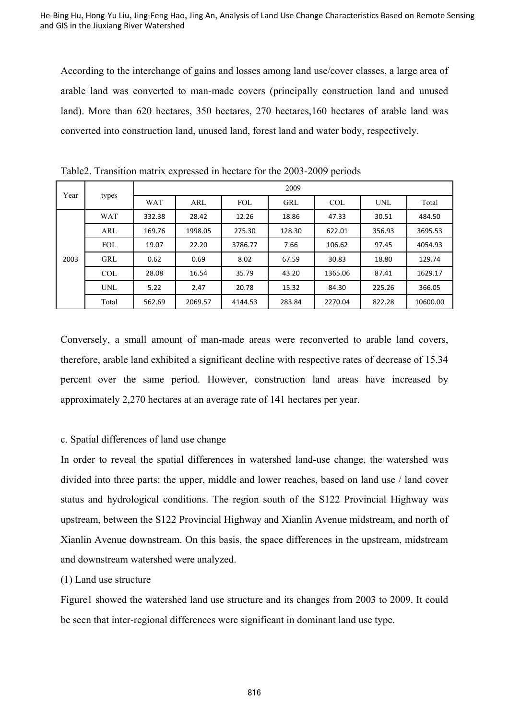According to the interchange of gains and losses among land use/cover classes, a large area of arable land was converted to man-made covers (principally construction land and unused land). More than 620 hectares, 350 hectares, 270 hectares,160 hectares of arable land was converted into construction land, unused land, forest land and water body, respectively.

| Year | types      | 2009       |         |            |            |            |        |          |  |
|------|------------|------------|---------|------------|------------|------------|--------|----------|--|
|      |            | <b>WAT</b> | ARL     | <b>FOL</b> | <b>GRL</b> | <b>COL</b> | UNL    | Total    |  |
| 2003 | <b>WAT</b> | 332.38     | 28.42   | 12.26      | 18.86      | 47.33      | 30.51  | 484.50   |  |
|      | ARL        | 169.76     | 1998.05 | 275.30     | 128.30     | 622.01     | 356.93 | 3695.53  |  |
|      | <b>FOL</b> | 19.07      | 22.20   | 3786.77    | 7.66       | 106.62     | 97.45  | 4054.93  |  |
|      | GRL        | 0.62       | 0.69    | 8.02       | 67.59      | 30.83      | 18.80  | 129.74   |  |
|      | <b>COL</b> | 28.08      | 16.54   | 35.79      | 43.20      | 1365.06    | 87.41  | 1629.17  |  |
|      | <b>UNL</b> | 5.22       | 2.47    | 20.78      | 15.32      | 84.30      | 225.26 | 366.05   |  |
|      | Total      | 562.69     | 2069.57 | 4144.53    | 283.84     | 2270.04    | 822.28 | 10600.00 |  |

Table2. Transition matrix expressed in hectare for the 2003-2009 periods

Conversely, a small amount of man-made areas were reconverted to arable land covers, therefore, arable land exhibited a significant decline with respective rates of decrease of 15.34 percent over the same period. However, construction land areas have increased by approximately 2,270 hectares at an average rate of 141 hectares per year.

# c. Spatial differences of land use change

In order to reveal the spatial differences in watershed land-use change, the watershed was divided into three parts: the upper, middle and lower reaches, based on land use / land cover status and hydrological conditions. The region south of the S122 Provincial Highway was upstream, between the S122 Provincial Highway and Xianlin Avenue midstream, and north of Xianlin Avenue downstream. On this basis, the space differences in the upstream, midstream and downstream watershed were analyzed.

# (1) Land use structure

Figure1 showed the watershed land use structure and its changes from 2003 to 2009. It could be seen that inter-regional differences were significant in dominant land use type.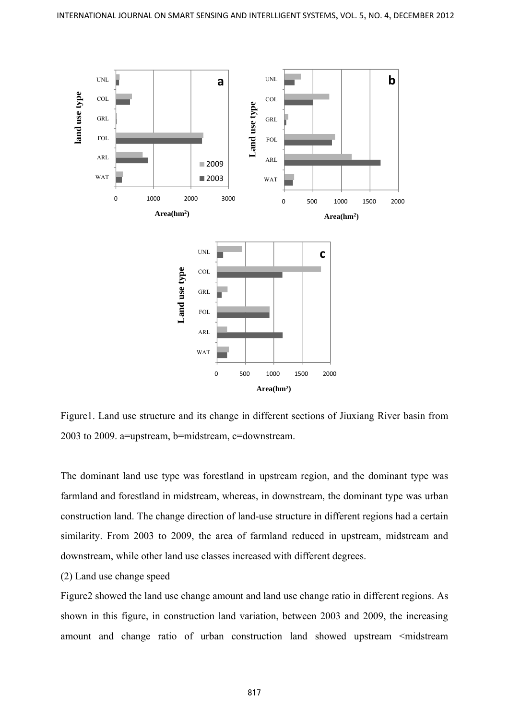

Figure1. Land use structure and its change in different sections of Jiuxiang River basin from 2003 to 2009. a=upstream, b=midstream, c=downstream.

The dominant land use type was forestland in upstream region, and the dominant type was farmland and forestland in midstream, whereas, in downstream, the dominant type was urban construction land. The change direction of land-use structure in different regions had a certain similarity. From 2003 to 2009, the area of farmland reduced in upstream, midstream and downstream, while other land use classes increased with different degrees.

# (2) Land use change speed

Figure2 showed the land use change amount and land use change ratio in different regions. As shown in this figure, in construction land variation, between 2003 and 2009, the increasing amount and change ratio of urban construction land showed upstream <midstream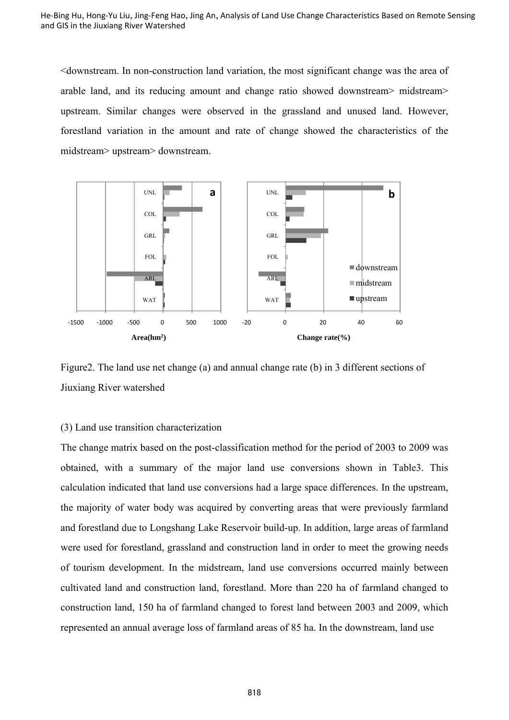<downstream. In non-construction land variation, the most significant change was the area of arable land, and its reducing amount and change ratio showed downstream> midstream> upstream. Similar changes were observed in the grassland and unused land. However, forestland variation in the amount and rate of change showed the characteristics of the midstream> upstream> downstream.



Figure2. The land use net change (a) and annual change rate (b) in 3 different sections of Jiuxiang River watershed

## (3) Land use transition characterization

The change matrix based on the post-classification method for the period of 2003 to 2009 was obtained, with a summary of the major land use conversions shown in Table3. This calculation indicated that land use conversions had a large space differences. In the upstream, the majority of water body was acquired by converting areas that were previously farmland and forestland due to Longshang Lake Reservoir build-up. In addition, large areas of farmland were used for forestland, grassland and construction land in order to meet the growing needs of tourism development. In the midstream, land use conversions occurred mainly between cultivated land and construction land, forestland. More than 220 ha of farmland changed to construction land, 150 ha of farmland changed to forest land between 2003 and 2009, which represented an annual average loss of farmland areas of 85 ha. In the downstream, land use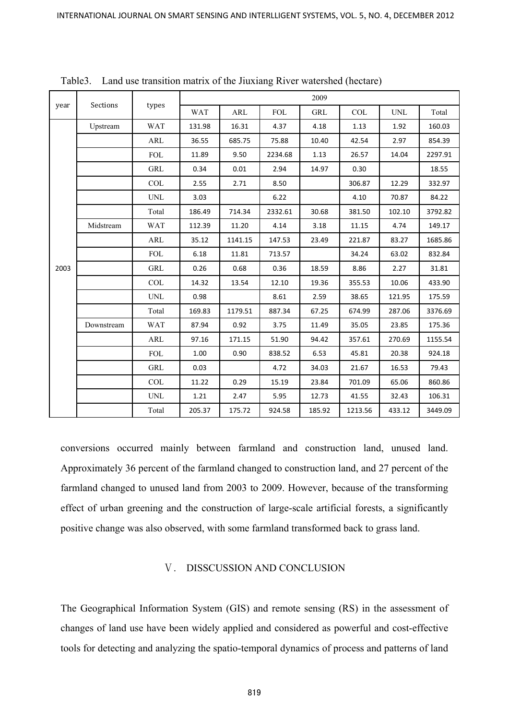| year | Sections   | types                     | 2009       |            |            |            |         |            |         |  |
|------|------------|---------------------------|------------|------------|------------|------------|---------|------------|---------|--|
|      |            |                           | <b>WAT</b> | <b>ARL</b> | <b>FOL</b> | <b>GRL</b> | COL     | <b>UNL</b> | Total   |  |
| 2003 | Upstream   | <b>WAT</b>                | 131.98     | 16.31      | 4.37       | 4.18       | 1.13    | 1.92       | 160.03  |  |
|      |            | <b>ARL</b>                | 36.55      | 685.75     | 75.88      | 10.40      | 42.54   | 2.97       | 854.39  |  |
|      |            | <b>FOL</b>                | 11.89      | 9.50       | 2234.68    | 1.13       | 26.57   | 14.04      | 2297.91 |  |
|      |            | <b>GRL</b>                | 0.34       | 0.01       | 2.94       | 14.97      | 0.30    |            | 18.55   |  |
|      |            | <b>COL</b>                | 2.55       | 2.71       | 8.50       |            | 306.87  | 12.29      | 332.97  |  |
|      |            | <b>UNL</b>                | 3.03       |            | 6.22       |            | 4.10    | 70.87      | 84.22   |  |
|      |            | Total                     | 186.49     | 714.34     | 2332.61    | 30.68      | 381.50  | 102.10     | 3792.82 |  |
|      | Midstream  | <b>WAT</b>                | 112.39     | 11.20      | 4.14       | 3.18       | 11.15   | 4.74       | 149.17  |  |
|      |            | ARL                       | 35.12      | 1141.15    | 147.53     | 23.49      | 221.87  | 83.27      | 1685.86 |  |
|      |            | <b>FOL</b>                | 6.18       | 11.81      | 713.57     |            | 34.24   | 63.02      | 832.84  |  |
|      |            | GRL                       | 0.26       | 0.68       | 0.36       | 18.59      | 8.86    | 2.27       | 31.81   |  |
|      |            | $\ensuremath{\text{COL}}$ | 14.32      | 13.54      | 12.10      | 19.36      | 355.53  | 10.06      | 433.90  |  |
|      |            | <b>UNL</b>                | 0.98       |            | 8.61       | 2.59       | 38.65   | 121.95     | 175.59  |  |
|      |            | Total                     | 169.83     | 1179.51    | 887.34     | 67.25      | 674.99  | 287.06     | 3376.69 |  |
|      | Downstream | <b>WAT</b>                | 87.94      | 0.92       | 3.75       | 11.49      | 35.05   | 23.85      | 175.36  |  |
|      |            | <b>ARL</b>                | 97.16      | 171.15     | 51.90      | 94.42      | 357.61  | 270.69     | 1155.54 |  |
|      |            | <b>FOL</b>                | 1.00       | 0.90       | 838.52     | 6.53       | 45.81   | 20.38      | 924.18  |  |
|      |            | <b>GRL</b>                | 0.03       |            | 4.72       | 34.03      | 21.67   | 16.53      | 79.43   |  |
|      |            | <b>COL</b>                | 11.22      | 0.29       | 15.19      | 23.84      | 701.09  | 65.06      | 860.86  |  |
|      |            | <b>UNL</b>                | 1.21       | 2.47       | 5.95       | 12.73      | 41.55   | 32.43      | 106.31  |  |
|      |            | Total                     | 205.37     | 175.72     | 924.58     | 185.92     | 1213.56 | 433.12     | 3449.09 |  |

Table3. Land use transition matrix of the Jiuxiang River watershed (hectare)

conversions occurred mainly between farmland and construction land, unused land. Approximately 36 percent of the farmland changed to construction land, and 27 percent of the farmland changed to unused land from 2003 to 2009. However, because of the transforming effect of urban greening and the construction of large-scale artificial forests, a significantly positive change was also observed, with some farmland transformed back to grass land.

# Ⅴ. DISSCUSSION AND CONCLUSION

The Geographical Information System (GIS) and remote sensing (RS) in the assessment of changes of land use have been widely applied and considered as powerful and cost-effective tools for detecting and analyzing the spatio-temporal dynamics of process and patterns of land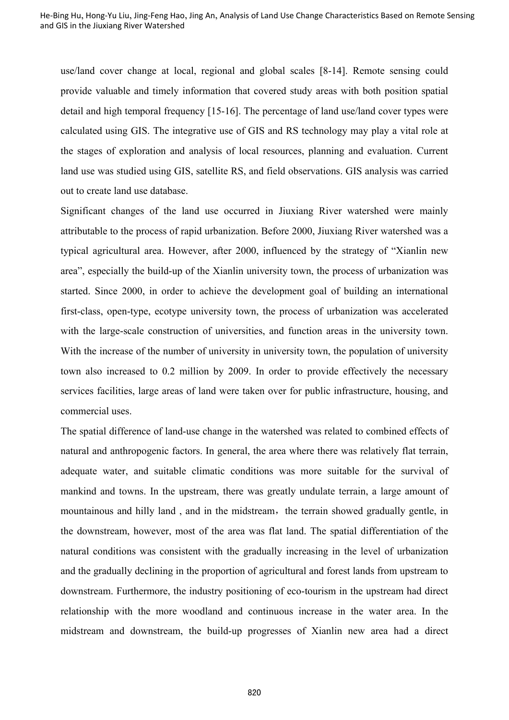use/land cover change at local, regional and global scales [8-14]. Remote sensing could provide valuable and timely information that covered study areas with both position spatial detail and high temporal frequency [15-16]. The percentage of land use/land cover types were calculated using GIS. The integrative use of GIS and RS technology may play a vital role at the stages of exploration and analysis of local resources, planning and evaluation. Current land use was studied using GIS, satellite RS, and field observations. GIS analysis was carried out to create land use database.

Significant changes of the land use occurred in Jiuxiang River watershed were mainly attributable to the process of rapid urbanization. Before 2000, Jiuxiang River watershed was a typical agricultural area. However, after 2000, influenced by the strategy of "Xianlin new area", especially the build-up of the Xianlin university town, the process of urbanization was started. Since 2000, in order to achieve the development goal of building an international first-class, open-type, ecotype university town, the process of urbanization was accelerated with the large-scale construction of universities, and function areas in the university town. With the increase of the number of university in university town, the population of university town also increased to 0.2 million by 2009. In order to provide effectively the necessary services facilities, large areas of land were taken over for public infrastructure, housing, and commercial uses.

The spatial difference of land-use change in the watershed was related to combined effects of natural and anthropogenic factors. In general, the area where there was relatively flat terrain, adequate water, and suitable climatic conditions was more suitable for the survival of mankind and towns. In the upstream, there was greatly undulate terrain, a large amount of mountainous and hilly land, and in the midstream, the terrain showed gradually gentle, in the downstream, however, most of the area was flat land. The spatial differentiation of the natural conditions was consistent with the gradually increasing in the level of urbanization and the gradually declining in the proportion of agricultural and forest lands from upstream to downstream. Furthermore, the industry positioning of eco-tourism in the upstream had direct relationship with the more woodland and continuous increase in the water area. In the midstream and downstream, the build-up progresses of Xianlin new area had a direct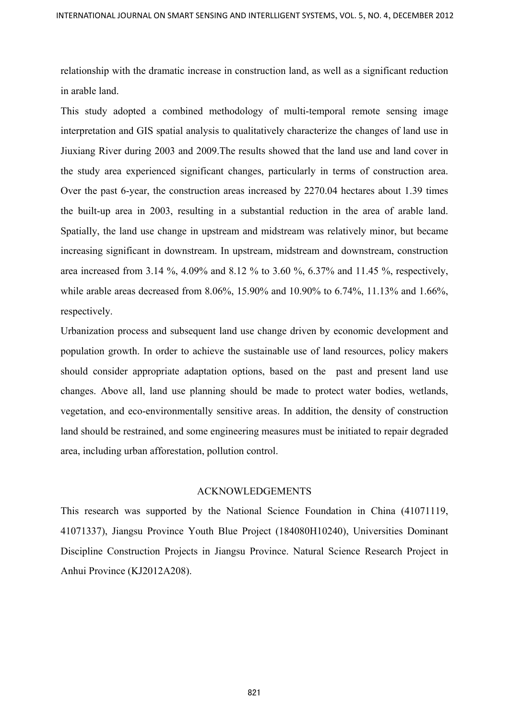relationship with the dramatic increase in construction land, as well as a significant reduction in arable land.

This study adopted a combined methodology of multi-temporal remote sensing image interpretation and GIS spatial analysis to qualitatively characterize the changes of land use in Jiuxiang River during 2003 and 2009.The results showed that the land use and land cover in the study area experienced significant changes, particularly in terms of construction area. Over the past 6-year, the construction areas increased by 2270.04 hectares about 1.39 times the built-up area in 2003, resulting in a substantial reduction in the area of arable land. Spatially, the land use change in upstream and midstream was relatively minor, but became increasing significant in downstream. In upstream, midstream and downstream, construction area increased from 3.14 %, 4.09% and 8.12 % to 3.60 %, 6.37% and 11.45 %, respectively, while arable areas decreased from 8.06%, 15.90% and 10.90% to 6.74%, 11.13% and 1.66%, respectively.

Urbanization process and subsequent land use change driven by economic development and population growth. In order to achieve the sustainable use of land resources, policy makers should consider appropriate adaptation options, based on the past and present land use changes. Above all, land use planning should be made to protect water bodies, wetlands, vegetation, and eco-environmentally sensitive areas. In addition, the density of construction land should be restrained, and some engineering measures must be initiated to repair degraded area, including urban afforestation, pollution control.

## ACKNOWLEDGEMENTS

This research was supported by the National Science Foundation in China (41071119, 41071337), Jiangsu Province Youth Blue Project (184080H10240), Universities Dominant Discipline Construction Projects in Jiangsu Province. Natural Science Research Project in Anhui Province (KJ2012A208).

821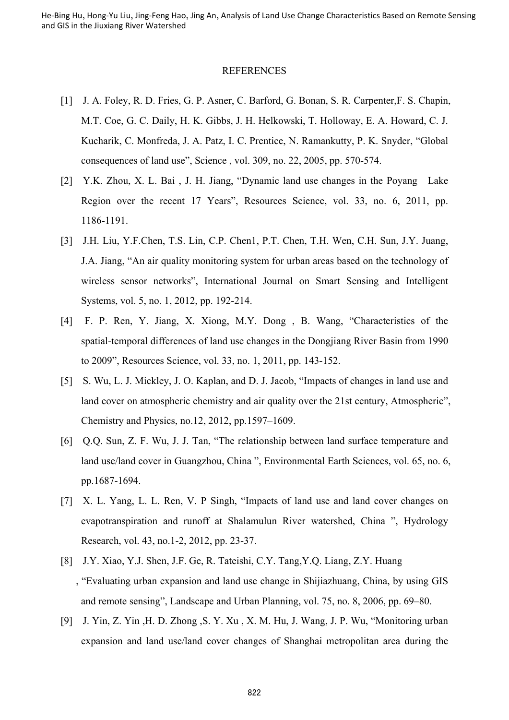#### **REFERENCES**

- [1] J. A. Foley, R. D. Fries, G. P. Asner, C. Barford, G. Bonan, S. R. Carpenter,F. S. Chapin, M.T. Coe, G. C. Daily, H. K. Gibbs, J. H. Helkowski, T. Holloway, E. A. Howard, C. J. Kucharik, C. Monfreda, J. A. Patz, I. C. Prentice, N. Ramankutty, P. K. Snyder, "Global consequences of land use", Science , vol. 309, no. 22, 2005, pp. 570-574.
- [2] Y.K. Zhou, X. L. Bai , J. H. Jiang, "Dynamic land use changes in the Poyang Lake Region over the recent 17 Years", Resources Science, vol. 33, no. 6, 2011, pp. 1186-1191.
- [3] J.H. Liu, Y.F.Chen, T.S. Lin, C.P. Chen1, P.T. Chen, T.H. Wen, C.H. Sun, J.Y. Juang, J.A. Jiang, "An air quality monitoring system for urban areas based on the technology of wireless sensor networks", International Journal on Smart Sensing and Intelligent Systems, vol. 5, no. 1, 2012, pp. 192-214.
- [4] F. P. Ren, Y. Jiang, X. Xiong, M.Y. Dong , B. Wang, "Characteristics of the spatial-temporal differences of land use changes in the Dongjiang River Basin from 1990 to 2009", Resources Science, vol. 33, no. 1, 2011, pp. 143-152.
- [5] S. Wu, L. J. Mickley, J. O. Kaplan, and D. J. Jacob, "Impacts of changes in land use and land cover on atmospheric chemistry and air quality over the 21st century, Atmospheric", Chemistry and Physics, no.12, 2012, pp.1597–1609.
- [6] Q.Q. Sun, Z. F. Wu, J. J. Tan, "The relationship between land surface temperature and land use/land cover in Guangzhou, China ", Environmental Earth Sciences, vol. 65, no. 6, pp.1687-1694.
- [7] X. L. Yang, L. L. Ren, V. P Singh, "Impacts of land use and land cover changes on evapotranspiration and runoff at Shalamulun River watershed, China ", Hydrology Research, vol. 43, no.1-2, 2012, pp. 23-37.
- [8] J.Y. Xiao, Y.J. Shen, J.F. Ge, R. Tateishi, C.Y. Tang,Y.Q. Liang, Z.Y. Huang , "Evaluating urban expansion and land use change in Shijiazhuang, China, by using GIS and remote sensing", Landscape and Urban Planning, vol. 75, no. 8, 2006, pp. 69–80.
- [9] J. Yin, Z. Yin ,H. D. Zhong ,S. Y. Xu , X. M. Hu, J. Wang, J. P. Wu, "Monitoring urban expansion and land use/land cover changes of Shanghai metropolitan area during the